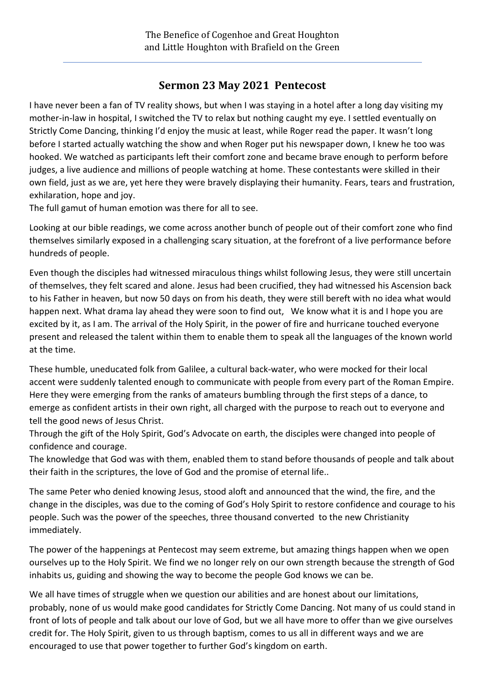## **Sermon 23 May 2021 Pentecost**

I have never been a fan of TV reality shows, but when I was staying in a hotel after a long day visiting my mother-in-law in hospital, I switched the TV to relax but nothing caught my eye. I settled eventually on Strictly Come Dancing, thinking I'd enjoy the music at least, while Roger read the paper. It wasn't long before I started actually watching the show and when Roger put his newspaper down, I knew he too was hooked. We watched as participants left their comfort zone and became brave enough to perform before judges, a live audience and millions of people watching at home. These contestants were skilled in their own field, just as we are, yet here they were bravely displaying their humanity. Fears, tears and frustration, exhilaration, hope and joy.

The full gamut of human emotion was there for all to see.

Looking at our bible readings, we come across another bunch of people out of their comfort zone who find themselves similarly exposed in a challenging scary situation, at the forefront of a live performance before hundreds of people.

Even though the disciples had witnessed miraculous things whilst following Jesus, they were still uncertain of themselves, they felt scared and alone. Jesus had been crucified, they had witnessed his Ascension back to his Father in heaven, but now 50 days on from his death, they were still bereft with no idea what would happen next. What drama lay ahead they were soon to find out, We know what it is and I hope you are excited by it, as I am. The arrival of the Holy Spirit, in the power of fire and hurricane touched everyone present and released the talent within them to enable them to speak all the languages of the known world at the time.

These humble, uneducated folk from Galilee, a cultural back-water, who were mocked for their local accent were suddenly talented enough to communicate with people from every part of the Roman Empire. Here they were emerging from the ranks of amateurs bumbling through the first steps of a dance, to emerge as confident artists in their own right, all charged with the purpose to reach out to everyone and tell the good news of Jesus Christ.

Through the gift of the Holy Spirit, God's Advocate on earth, the disciples were changed into people of confidence and courage.

The knowledge that God was with them, enabled them to stand before thousands of people and talk about their faith in the scriptures, the love of God and the promise of eternal life..

The same Peter who denied knowing Jesus, stood aloft and announced that the wind, the fire, and the change in the disciples, was due to the coming of God's Holy Spirit to restore confidence and courage to his people. Such was the power of the speeches, three thousand converted to the new Christianity immediately.

The power of the happenings at Pentecost may seem extreme, but amazing things happen when we open ourselves up to the Holy Spirit. We find we no longer rely on our own strength because the strength of God inhabits us, guiding and showing the way to become the people God knows we can be.

We all have times of struggle when we question our abilities and are honest about our limitations, probably, none of us would make good candidates for Strictly Come Dancing. Not many of us could stand in front of lots of people and talk about our love of God, but we all have more to offer than we give ourselves credit for. The Holy Spirit, given to us through baptism, comes to us all in different ways and we are encouraged to use that power together to further God's kingdom on earth.